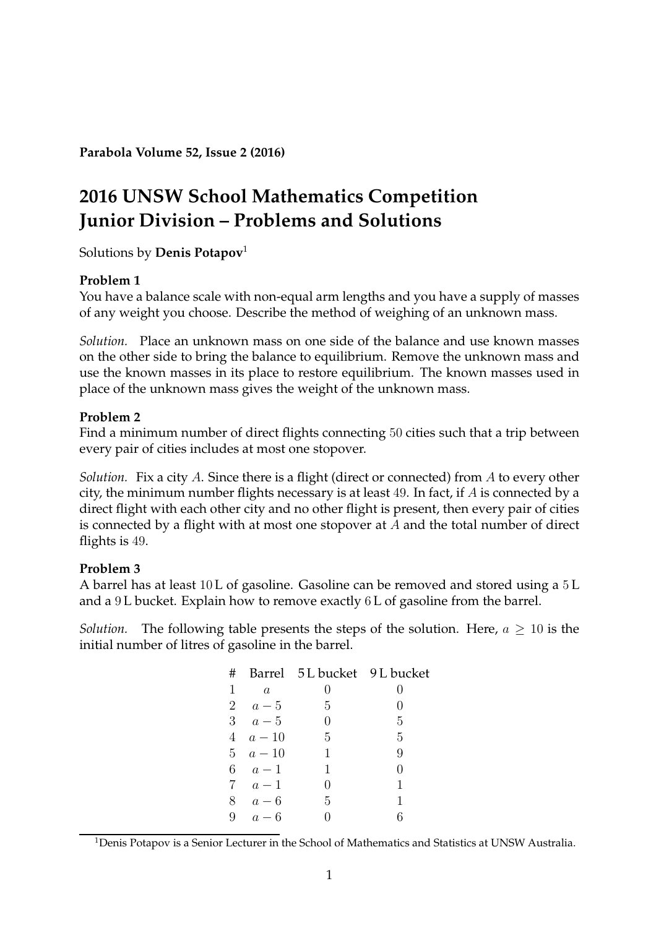**Parabola Volume 52, Issue 2 (2016)**

# **2016 UNSW School Mathematics Competition Junior Division – Problems and Solutions**

Solutions by **Denis Potapov**[1](#page-0-0)

## **Problem 1**

You have a balance scale with non-equal arm lengths and you have a supply of masses of any weight you choose. Describe the method of weighing of an unknown mass.

*Solution.* Place an unknown mass on one side of the balance and use known masses on the other side to bring the balance to equilibrium. Remove the unknown mass and use the known masses in its place to restore equilibrium. The known masses used in place of the unknown mass gives the weight of the unknown mass.

## **Problem 2**

Find a minimum number of direct flights connecting 50 cities such that a trip between every pair of cities includes at most one stopover.

*Solution.* Fix a city A. Since there is a flight (direct or connected) from A to every other city, the minimum number flights necessary is at least 49. In fact, if  $A$  is connected by a direct flight with each other city and no other flight is present, then every pair of cities is connected by a flight with at most one stopover at A and the total number of direct flights is 49.

# **Problem 3**

A barrel has at least 10 L of gasoline. Gasoline can be removed and stored using a 5 L and a 9 L bucket. Explain how to remove exactly 6 L of gasoline from the barrel.

*Solution.* The following table presents the steps of the solution. Here,  $a \geq 10$  is the initial number of litres of gasoline in the barrel.

| #            |                | Barrel 5L bucket 9L bucket |                   |
|--------------|----------------|----------------------------|-------------------|
| $\mathbf{1}$ | $\overline{a}$ | 0                          |                   |
|              | 2 $a-5$        | 5                          | $\left( \right)$  |
|              | 3 $a-5$        | $\left( \right)$           | 5                 |
|              | $4 \quad a-10$ | 5                          | 5                 |
|              | $5 \quad a-10$ | 1                          | 9                 |
|              | 6 $a-1$        | 1                          | $\mathbf{\Omega}$ |
|              | $7 \quad a-1$  | 0                          |                   |
|              | $8\quad a-6$   | 5                          |                   |
| 9            | $a-6$          |                            |                   |

<span id="page-0-0"></span><sup>1</sup>Denis Potapov is a Senior Lecturer in the School of Mathematics and Statistics at UNSW Australia.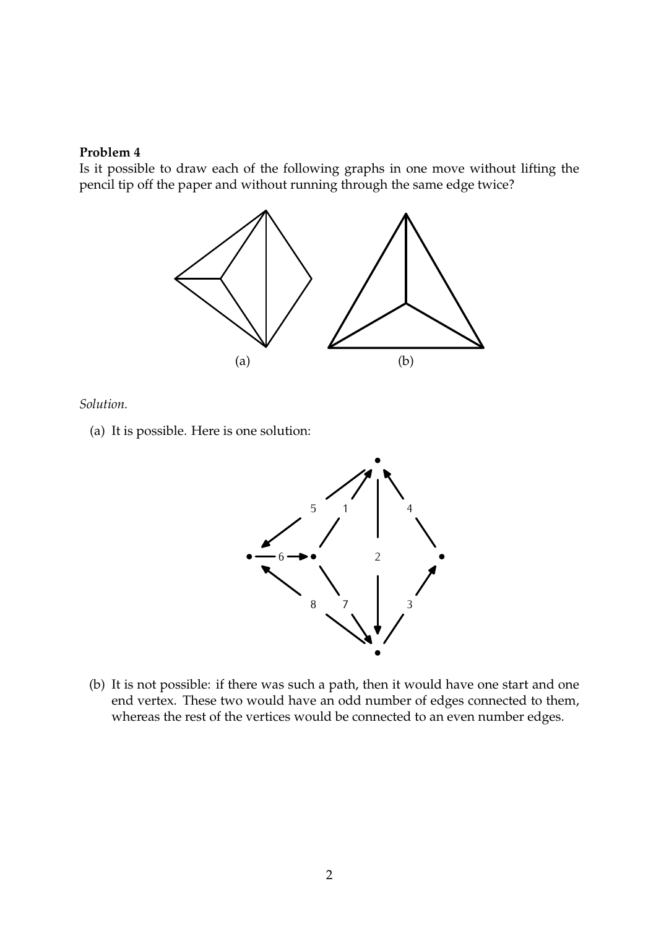Is it possible to draw each of the following graphs in one move without lifting the pencil tip off the paper and without running through the same edge twice?



*Solution.*

(a) It is possible. Here is one solution:



(b) It is not possible: if there was such a path, then it would have one start and one end vertex. These two would have an odd number of edges connected to them, whereas the rest of the vertices would be connected to an even number edges.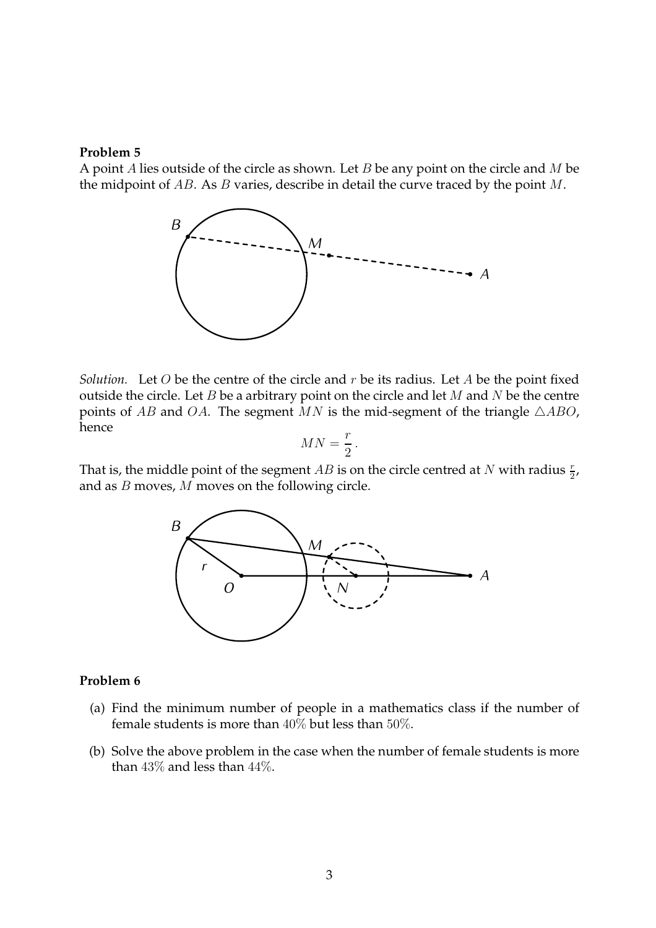A point A lies outside of the circle as shown. Let B be any point on the circle and  $M$  be the midpoint of  $AB$ . As  $B$  varies, describe in detail the curve traced by the point  $M$ .



*Solution.* Let  $O$  be the centre of the circle and  $r$  be its radius. Let  $A$  be the point fixed outside the circle. Let  $B$  be a arbitrary point on the circle and let  $M$  and  $N$  be the centre points of AB and OA. The segment MN is the mid-segment of the triangle  $\triangle ABO$ , hence

$$
MN = \frac{r}{2}.
$$

That is, the middle point of the segment  $AB$  is on the circle centred at  $N$  with radius  $\frac{r}{2}$ , and as B moves, M moves on the following circle.



### **Problem 6**

- (a) Find the minimum number of people in a mathematics class if the number of female students is more than  $40\%$  but less than  $50\%$ .
- (b) Solve the above problem in the case when the number of female students is more than 43% and less than 44%.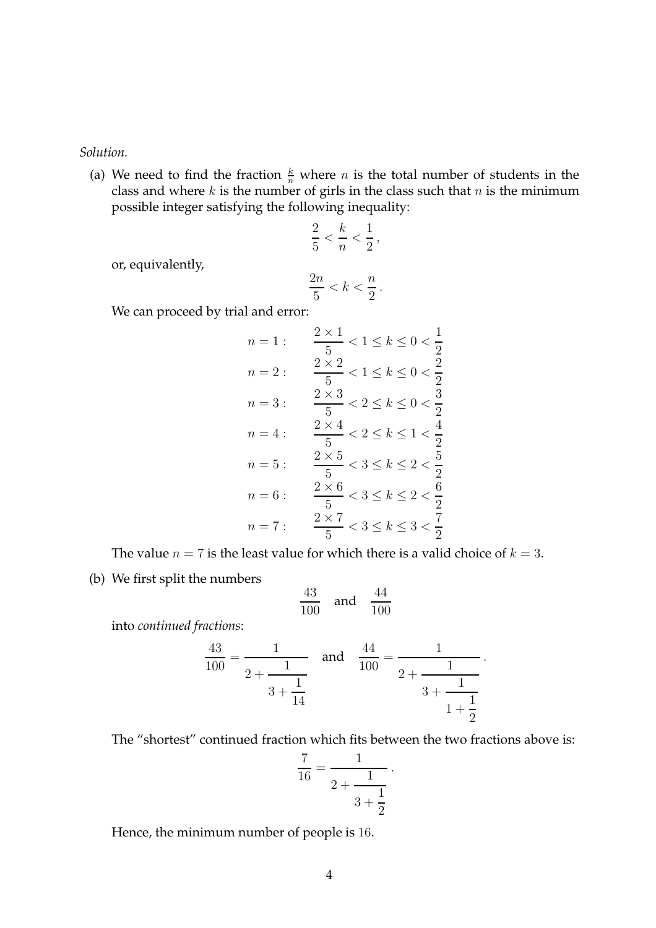### *Solution.*

(a) We need to find the fraction  $\frac{k}{n}$  where n is the total number of students in the class and where k is the number of girls in the class such that  $n$  is the minimum possible integer satisfying the following inequality:

$$
\frac{2}{5} < \frac{k}{n} < \frac{1}{2},
$$
\n
$$
2n \qquad n
$$

or, equivalently,

$$
\frac{2n}{5} < k < \frac{n}{2} \, .
$$

We can proceed by trial and error:

$$
n = 1: \quad \frac{2 \times 1}{5} < 1 \le k \le 0 < \frac{1}{2}
$$
\n
$$
n = 2: \quad \frac{2 \times 2}{5} < 1 \le k \le 0 < \frac{2}{2}
$$
\n
$$
n = 3: \quad \frac{2 \times 3}{5} < 2 \le k \le 0 < \frac{3}{2}
$$
\n
$$
n = 4: \quad \frac{2 \times 4}{5} < 2 \le k \le 1 < \frac{4}{2}
$$
\n
$$
n = 5: \quad \frac{2 \times 5}{5} < 3 \le k \le 2 < \frac{5}{2}
$$
\n
$$
n = 6: \quad \frac{2 \times 6}{5} < 3 \le k \le 2 < \frac{6}{2}
$$
\n
$$
n = 7: \quad \frac{2 \times 7}{5} < 3 \le k \le 3 < \frac{7}{2}
$$

The value  $n = 7$  is the least value for which there is a valid choice of  $k = 3$ .

(b) We first split the numbers

$$
\frac{43}{100} \quad \text{and} \quad \frac{44}{100}
$$

into *continued fractions*:

$$
\frac{43}{100} = \frac{1}{2 + \frac{1}{3 + \frac{1}{14}}} \quad \text{and} \quad \frac{44}{100} = \frac{1}{2 + \frac{1}{3 + \frac{1}{1 + \frac{1}{2}}}}.
$$

The "shortest" continued fraction which fits between the two fractions above is:

$$
\frac{7}{16} = \frac{1}{2 + \frac{1}{3 + \frac{1}{2}}}.
$$

Hence, the minimum number of people is 16.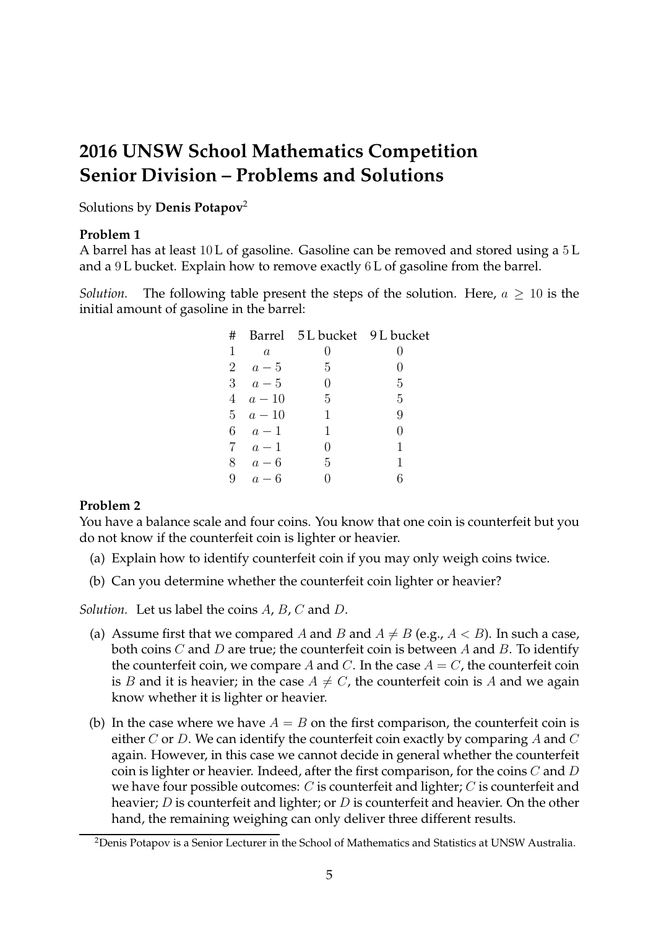# **2016 UNSW School Mathematics Competition Senior Division – Problems and Solutions**

Solutions by **Denis Potapov**[2](#page-4-0)

## **Problem 1**

A barrel has at least 10 L of gasoline. Gasoline can be removed and stored using a 5 L and a 9 L bucket. Explain how to remove exactly 6 L of gasoline from the barrel.

*Solution.* The following table present the steps of the solution. Here,  $a \geq 10$  is the initial amount of gasoline in the barrel:

| #           |                | Barrel 5L bucket 9L bucket |                  |
|-------------|----------------|----------------------------|------------------|
| $\mathbf 1$ | $\overline{a}$ | 0                          | $\mathbf{0}$     |
|             | 2 $a-5$        | 5                          | $\left( \right)$ |
|             | 3 $a-5$        | 0                          | 5                |
|             | $4 \quad a-10$ | 5                          | 5                |
|             | 5 $a-10$       | 1                          | 9                |
|             | 6 $a-1$        | 1                          | 0                |
|             | $7 \quad a-1$  | $\mathbf{0}$               | 1                |
|             | $8\quad a-6$   | 5                          | 1                |
| 9           | $a-6$          |                            | 6                |

# **Problem 2**

You have a balance scale and four coins. You know that one coin is counterfeit but you do not know if the counterfeit coin is lighter or heavier.

- (a) Explain how to identify counterfeit coin if you may only weigh coins twice.
- (b) Can you determine whether the counterfeit coin lighter or heavier?

*Solution.* Let us label the coins A, B, C and D.

- (a) Assume first that we compared A and B and  $A \neq B$  (e.g.,  $A < B$ ). In such a case, both coins  $C$  and  $D$  are true; the counterfeit coin is between  $A$  and  $B$ . To identify the counterfeit coin, we compare A and C. In the case  $A = C$ , the counterfeit coin is B and it is heavier; in the case  $A \neq C$ , the counterfeit coin is A and we again know whether it is lighter or heavier.
- (b) In the case where we have  $A = B$  on the first comparison, the counterfeit coin is either  $C$  or  $D$ . We can identify the counterfeit coin exactly by comparing  $A$  and  $C$ again. However, in this case we cannot decide in general whether the counterfeit coin is lighter or heavier. Indeed, after the first comparison, for the coins  $C$  and  $D$ we have four possible outcomes:  $C$  is counterfeit and lighter;  $C$  is counterfeit and heavier;  $D$  is counterfeit and lighter; or  $D$  is counterfeit and heavier. On the other hand, the remaining weighing can only deliver three different results.

<span id="page-4-0"></span><sup>2</sup>Denis Potapov is a Senior Lecturer in the School of Mathematics and Statistics at UNSW Australia.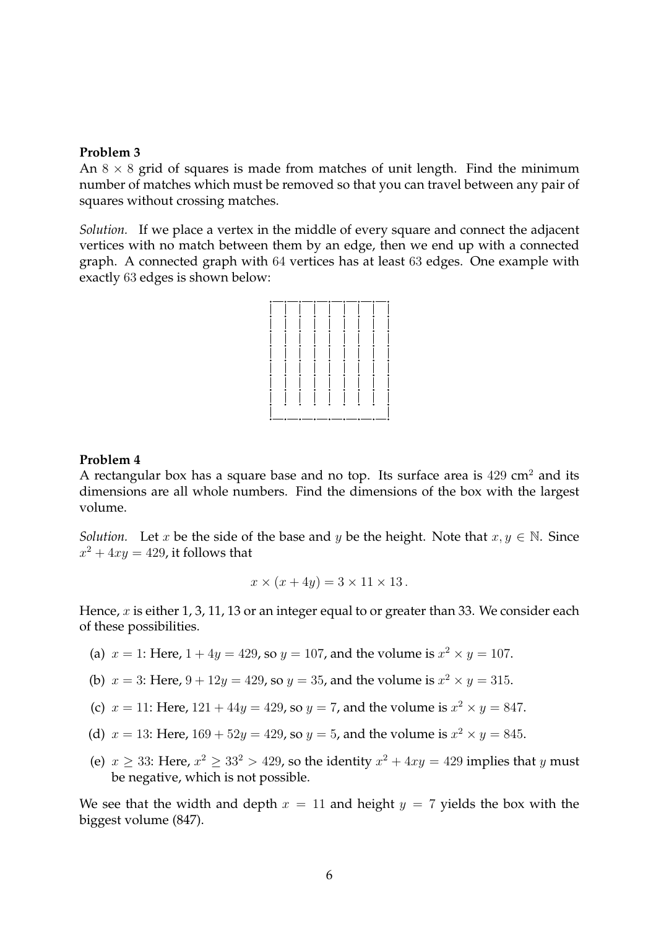An  $8 \times 8$  grid of squares is made from matches of unit length. Find the minimum number of matches which must be removed so that you can travel between any pair of squares without crossing matches.

*Solution.* If we place a vertex in the middle of every square and connect the adjacent vertices with no match between them by an edge, then we end up with a connected graph. A connected graph with 64 vertices has at least 63 edges. One example with exactly 63 edges is shown below:



### **Problem 4**

A rectangular box has a square base and no top. Its surface area is  $429 \text{ cm}^2$  and its dimensions are all whole numbers. Find the dimensions of the box with the largest volume.

*Solution.* Let x be the side of the base and y be the height. Note that  $x, y \in \mathbb{N}$ . Since  $x^2 + 4xy = 429$ , it follows that

$$
x \times (x + 4y) = 3 \times 11 \times 13.
$$

Hence, x is either 1, 3, 11, 13 or an integer equal to or greater than 33. We consider each of these possibilities.

- (a)  $x = 1$ : Here,  $1 + 4y = 429$ , so  $y = 107$ , and the volume is  $x^2 \times y = 107$ .
- (b)  $x = 3$ : Here,  $9 + 12y = 429$ , so  $y = 35$ , and the volume is  $x^2 \times y = 315$ .
- (c)  $x = 11$ : Here,  $121 + 44y = 429$ , so  $y = 7$ , and the volume is  $x^2 \times y = 847$ .
- (d)  $x = 13$ : Here,  $169 + 52y = 429$ , so  $y = 5$ , and the volume is  $x^2 \times y = 845$ .
- (e)  $x \ge 33$ : Here,  $x^2 \ge 33^2 > 429$ , so the identity  $x^2 + 4xy = 429$  implies that y must be negative, which is not possible.

We see that the width and depth  $x = 11$  and height  $y = 7$  yields the box with the biggest volume (847).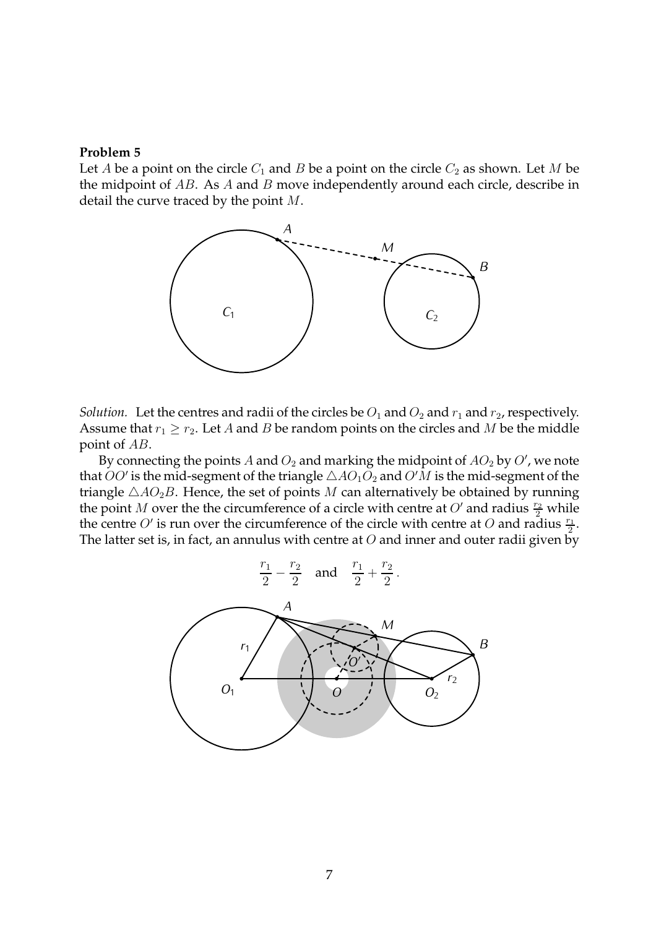Let A be a point on the circle  $C_1$  and B be a point on the circle  $C_2$  as shown. Let M be the midpoint of  $AB$ . As  $A$  and  $B$  move independently around each circle, describe in detail the curve traced by the point M.



*Solution.* Let the centres and radii of the circles be  $O_1$  and  $O_2$  and  $r_1$  and  $r_2$ , respectively. Assume that  $r_1 \ge r_2$ . Let A and B be random points on the circles and M be the middle point of AB.

By connecting the points A and  $O_2$  and marking the midpoint of  $AO_2$  by  $O'$ , we note that  $OO'$  is the mid-segment of the triangle  $\triangle AO_1O_2$  and  $O'M$  is the mid-segment of the triangle  $\triangle AO_2B$ . Hence, the set of points M can alternatively be obtained by running the point M over the the circumference of a circle with centre at O' and radius  $\frac{r_2}{2}$  while the centre  $O'$  is run over the circumference of the circle with centre at O and radius  $\frac{r_1}{2}$ . The latter set is, in fact, an annulus with centre at  $O$  and inner and outer radii given by